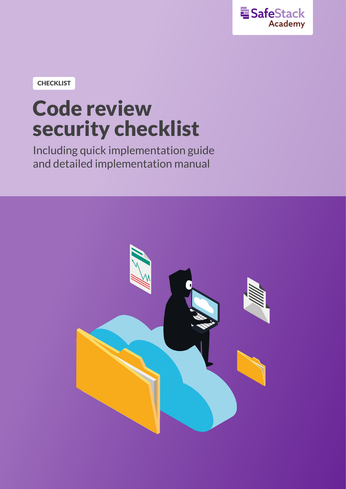

**CHECKLIST**

# **Code review security checklist**

Including quick implementation guide and detailed implementation manual

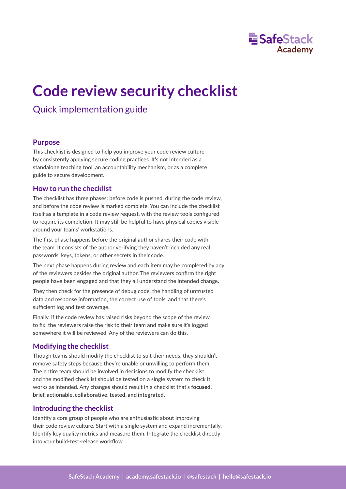

## Quick implementation guide

## **Purpose**

This checklist is designed to help you improve your code review culture by consistently applying secure coding prac�ces. It's not intended as a standalone teaching tool, an accountability mechanism, or as a complete guide to secure development.

## **How to run the checklist**

The checklist has three phases: before code is pushed, during the code review, and before the code review is marked complete. You can include the checklist itself as a template in a code review request, with the review tools configured to require its completion. It may still be helpful to have physical copies visible around your teams' workstations.

The first phase happens before the original author shares their code with the team. It consists of the author verifying they haven't included any real passwords, keys, tokens, or other secrets in their code.

The next phase happens during review and each item may be completed by any of the reviewers besides the original author. The reviewers confirm the right people have been engaged and that they all understand the intended change.

They then check for the presence of debug code, the handling of untrusted data and response information, the correct use of tools, and that there's sufficient log and test coverage.

Finally, if the code review has raised risks beyond the scope of the review to fix, the reviewers raise the risk to their team and make sure it's logged somewhere it will be reviewed. Any of the reviewers can do this.

## **Modifying the checklist**

Though teams should modify the checklist to suit their needs, they shouldn't remove safety steps because they're unable or unwilling to perform them. The entire team should be involved in decisions to modify the checklist, and the modified checklist should be tested on a single system to check it works as intended. Any changes should result in a checklist that's **focused, brief, actionable, collaborative, tested, and integrated.**

## **Introducing the checklist**

Identify a core group of people who are enthusiastic about improving their code review culture. Start with a single system and expand incrementally. Iden�fy key quality metrics and measure them. Integrate the checklist directly into your build-test-release workflow.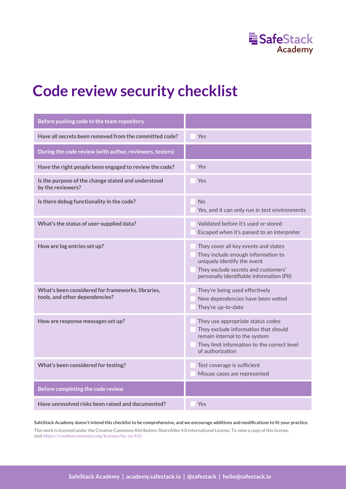

| Before pushing code to the team repository                                          |                                                                                                                                                                                               |
|-------------------------------------------------------------------------------------|-----------------------------------------------------------------------------------------------------------------------------------------------------------------------------------------------|
| Have all secrets been removed from the committed code?                              | Yes                                                                                                                                                                                           |
| During the code review (with author, reviewers, testers)                            |                                                                                                                                                                                               |
| Have the right people been engaged to review the code?                              | Yes                                                                                                                                                                                           |
| Is the purpose of the change stated and understood<br>by the reviewers?             | Yes                                                                                                                                                                                           |
| Is there debug functionality in the code?                                           | <b>No</b><br>Yes, and it can only run in test environments                                                                                                                                    |
| What's the status of user-supplied data?                                            | Validated before it's used or stored<br>Escaped when it's passed to an interpreter                                                                                                            |
| How are log entries set up?                                                         | They cover all key events and states<br>They include enough information to<br>uniquely identify the event<br>They exclude secrets and customers'<br>personally identifiable information (PII) |
| What's been considered for frameworks, libraries,<br>tools, and other dependencies? | They're being used effectively<br>New dependencies have been vetted<br>They're up-to-date                                                                                                     |
| How are response messages set up?                                                   | They use appropriate status codes<br>They exclude information that should<br>remain internal to the system<br>They limit information to the correct level<br>of authorization                 |
| What's been considered for testing?                                                 | Test coverage is sufficient<br>Misuse cases are represented                                                                                                                                   |
| Before completing the code review                                                   |                                                                                                                                                                                               |
| Have unresolved risks been raised and documented?                                   | Yes                                                                                                                                                                                           |

**SafeStack Academy doesn't intend this checklist to be comprehensive, and we encourage additions and modifications to fit your practice.** This work is licensed under the Creative Commons Attribution-ShareAlike 4.0 International License. To view a copy of this license, visit https://creativecommons.org/licenses/by-sa/4.0/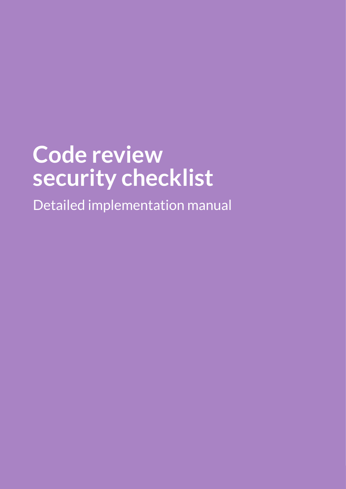Detailed implementation manual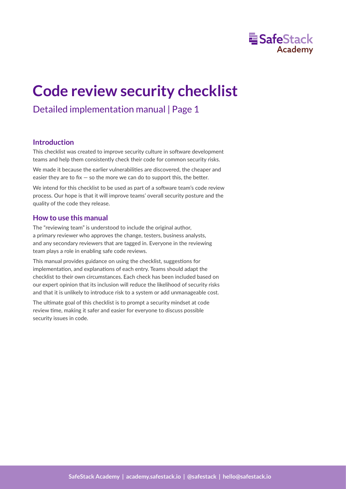

## Detailed implementation manual | Page 1

## **Introduction**

This checklist was created to improve security culture in software development teams and help them consistently check their code for common security risks.

We made it because the earlier vulnerabilities are discovered, the cheaper and easier they are to fix  $-$  so the more we can do to support this, the better.

We intend for this checklist to be used as part of a software team's code review process. Our hope is that it will improve teams' overall security posture and the quality of the code they release.

## **How to use this manual**

The "reviewing team" is understood to include the original author, a primary reviewer who approves the change, testers, business analysts, and any secondary reviewers that are tagged in. Everyone in the reviewing team plays a role in enabling safe code reviews.

This manual provides guidance on using the checklist, suggestions for implementation, and explanations of each entry. Teams should adapt the checklist to their own circumstances. Each check has been included based on our expert opinion that its inclusion will reduce the likelihood of security risks and that it is unlikely to introduce risk to a system or add unmanageable cost.

The ultimate goal of this checklist is to prompt a security mindset at code review time, making it safer and easier for everyone to discuss possible security issues in code.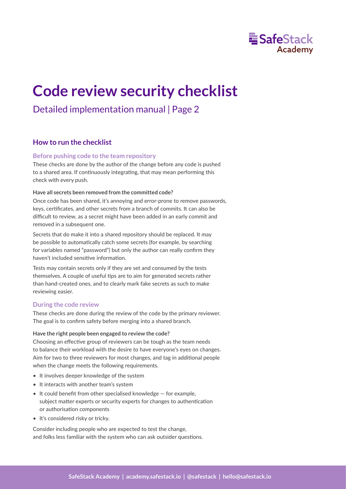

## Detailed implementation manual | Page 2

## **How to run the checklist**

## **Before pushing code to the team repository**

These checks are done by the author of the change before any code is pushed to a shared area. If continuously integrating, that may mean performing this check with every push.

### **Have all secrets been removed from the committed code?**

Once code has been shared, it's annoying and error-prone to remove passwords, keys, cer�ficates, and other secrets from a branch of commits. It can also be difficult to review, as a secret might have been added in an early commit and removed in a subsequent one.

Secrets that do make it into a shared repository should be replaced. It may be possible to automatically catch some secrets (for example, by searching for variables named "password") but only the author can really confirm they haven't included sensitive information.

Tests may contain secrets only if they are set and consumed by the tests themselves. A couple of useful tips are to aim for generated secrets rather than hand-created ones, and to clearly mark fake secrets as such to make reviewing easier.

### **During the code review**

These checks are done during the review of the code by the primary reviewer. The goal is to confirm safety before merging into a shared branch.

### **Have the right people been engaged to review the code?**

Choosing an effective group of reviewers can be tough as the team needs to balance their workload with the desire to have everyone's eyes on changes. Aim for two to three reviewers for most changes, and tag in additional people when the change meets the following requirements.

- It involves deeper knowledge of the system
- It interacts with another team's system
- It could benefit from other specialised knowledge for example, subject matter experts or security experts for changes to authentication or authorisation components
- It's considered risky or tricky.

Consider including people who are expected to test the change, and folks less familiar with the system who can ask outsider questions.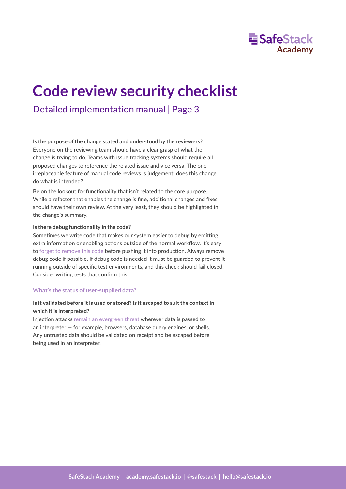

## Detailed implementation manual | Page 3

### **Is the purpose of the change stated and understood by the reviewers?**

Everyone on the reviewing team should have a clear grasp of what the change is trying to do. Teams with issue tracking systems should require all proposed changes to reference the related issue and vice versa. The one irreplaceable feature of manual code reviews is judgement: does this change do what is intended?

Be on the lookout for functionality that isn't related to the core purpose. While a refactor that enables the change is fine, additional changes and fixes should have their own review. At the very least, they should be highlighted in the change's summary.

### **Is there debug functionality in the code?**

Sometimes we write code that makes our system easier to debug by emitting extra information or enabling actions outside of the normal workflow. It's easy to [forget to remove this code](https://www.cvedetails.com/cwe-details/489/Leftover-Debug-Code.html) before pushing it into production. Always remove debug code if possible. If debug code is needed it must be guarded to prevent it running outside of specific test environments, and this check should [fail closed.](https://en.wikipedia.org/wiki/Fail-safe) Consider writing tests that confirm this.

### **What's the status of user-supplied data?**

## **Is it validated before it is used or stored? Is it escaped to suit the context in which it is interpreted?**

Injection attacks [remain an evergreen threat](https://owasp.org/Top10/A03_2021-Injection/) wherever data is passed to an interpreter — for example, browsers, database query engines, or shells. Any untrusted data should be validated on receipt and be escaped before being used in an interpreter.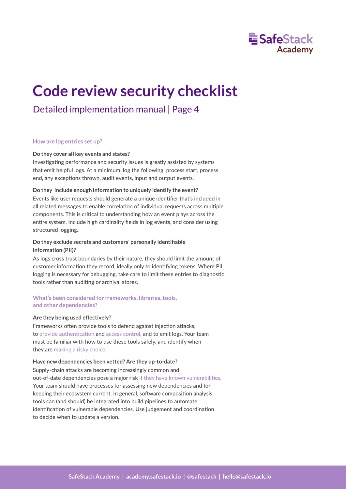

## Detailed implementation manual | Page 4

#### **How are log entries set up?**

#### **Do they cover all key events and states?**

Investigating performance and security issues is [greatly assisted](https://owasp.org/www-project-top-ten/OWASP_Top_Ten_2017/Top_10-2017_A10-Insufficient_Logging%252526Monitoring) by systems that emit helpful logs. At a minimum, log the following: process start, process end, any exceptions thrown, audit events, input and output events.

### **Do they include enough information to uniquely identify the event?**

Events like user requests should generate a unique iden�fier that's included in all related messages to enable correlation of individual requests across multiple components. This is cri�cal to understanding how an event plays across the entire system. Include high cardinality fields in log events, and consider using structured logging.

## **Do they exclude secrets and customers' personally identifiable information (PII)?**

As logs cross trust boundaries by their nature, they should limit the amount of customer information they record, ideally only to identifying tokens. Where PII logging is necessary for debugging, take care to limit these entries to diagnostic tools rather than auditing or archival stores.

## **What's been considered for frameworks, libraries, tools, and other dependencies?**

#### **Are they being used effectively?**

Frameworks often provide tools to defend against injection attacks, to provide authentication and [access control,](https://owasp.org/Top10/A01_2021-Broken_Access_Control/) and to emit logs. Your team must be familiar with how to use these tools safely, and iden�fy when they are [making a risky choice](https://owasp.org/Top10/A05_2021-Security_Misconfiguration/).

#### **Have new dependencies been vetted? Are they up-to-date?**

Supply-chain attacks are becoming increasingly common and out-of-date dependencies pose a major risk if they have known vulnerabilities. Your team should have processes for assessing new dependencies and for keeping their ecosystem current. In general, software composition analysis tools can (and should) be integrated into build pipelines to automate identification of vulnerable dependencies. Use judgement and coordination to decide when to update a version.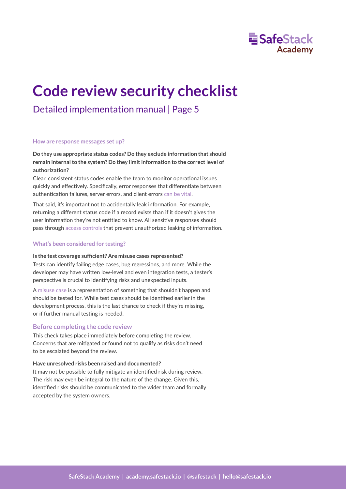

## Detailed implementation manual | Page 5

#### **How are response messages set up?**

**Do they use appropriate status codes? Do they exclude information that should remain internal to the system? Do they limit information to the correct level of authorization?**

Clear, consistent status codes enable the team to monitor operational issues quickly and effectively. Specifically, error responses that differentiate between authentication failures, server errors, and client errors [can be vital.](https://owasp.org/Top10/A09_2021-Security_Logging_and_Monitoring_Failures/)

That said, it's important not to accidentally leak information. For example, returning a different status code if a record exists than if it doesn't gives the user information they're not entitled to know. All sensitive responses should pass through [access controls](https://owasp.org/Top10/A01_2021-Broken_Access_Control/) that prevent unauthorized leaking of information.

### **What's been considered for testing?**

#### **Is the test coverage sufficient? Are misuse cases represented?**

Tests can identify failing edge cases, bug regressions, and more. While the developer may have written low-level and even integration tests, a tester's perspective is crucial to identifying risks and unexpected inputs.

A [misuse case](https://en.wikipedia.org/wiki/Misuse_case) is a representation of something that shouldn't happen and should be tested for. While test cases should be iden�fied earlier in the development process, this is the last chance to check if they're missing, or if further manual testing is needed.

### **Before completing the code review**

This check takes place immediately before completing the review. Concerns that are mitigated or found not to qualify as risks don't need to be escalated beyond the review.

#### **Have unresolved risks been raised and documented?**

It may not be possible to fully mitigate an identified risk during review. The risk may even be integral to the nature of the change. Given this, identified risks should be communicated to the wider team and formally accepted by the system owners.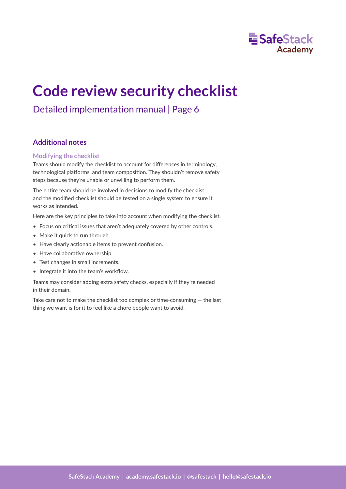

## Detailed implementation manual | Page 6

## **Additional notes**

## **Modifying the checklist**

Teams should modify the checklist to account for differences in terminology, technological platforms, and team composition. They shouldn't remove safety steps because they're unable or unwilling to perform them.

The entire team should be involved in decisions to modify the checklist, and the modified checklist should be tested on a single system to ensure it works as intended.

Here are the key principles to take into account when modifying the checklist.

- Focus on critical issues that aren't adequately covered by other controls.
- Make it quick to run through.
- Have clearly actionable items to prevent confusion.
- Have collaborative ownership.
- Test changes in small increments.
- Integrate it into the team's workflow.

Teams may consider adding extra safety checks, especially if they're needed in their domain.

Take care not to make the checklist too complex or time-consuming  $-$  the last thing we want is for it to feel like a chore people want to avoid.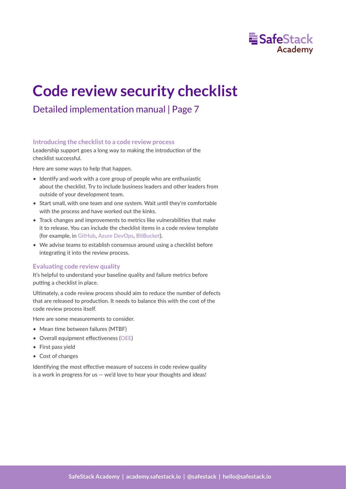

## Detailed implementation manual | Page 7

## **Introducing the checklist to a code review process**

Leadership support goes a long way to making the introduction of the checklist successful.

Here are some ways to help that happen.

- Identify and work with a core group of people who are enthusiastic about the checklist. Try to include business leaders and other leaders from outside of your development team.
- Start small, with one team and one system. Wait until they're comfortable with the process and have worked out the kinks.
- Track changes and improvements to metrics like vulnerabilities that make it to release. You can include the checklist items in a code review template (for example, in [GitHub,](https://help.github.com/en/github/building-a-strong-community/about-issue-and-pull-request-templates#pull-request-templates) [Azure DevOps,](https://docs.microsoft.com/en-us/azure/devops/repos/git/pull-request-templates?view=azure-devops) [BitBucket](https://bitbucket.org/blog/save-time-with-default-pull-request-descriptions)).
- We advise teams to establish consensus around using a checklist before integrating it into the review process.

## **Evaluating code review quality**

It's helpful to understand your baseline quality and failure metrics before putting a checklist in place.

Ultimately, a code review process should aim to reduce the number of defects that are released to production. It needs to balance this with the cost of the code review process itself.

Here are some measurements to consider.

- Mean time between failures (MTBF)
- •Overall equipment effectiveness ([OEE](https://www.oee.com/oee-factors/))
- First pass yield
- Cost of changes

Identifying the most effective measure of success in code review quality is a work in progress for us  $-$  we'd love to hear your thoughts and ideas!